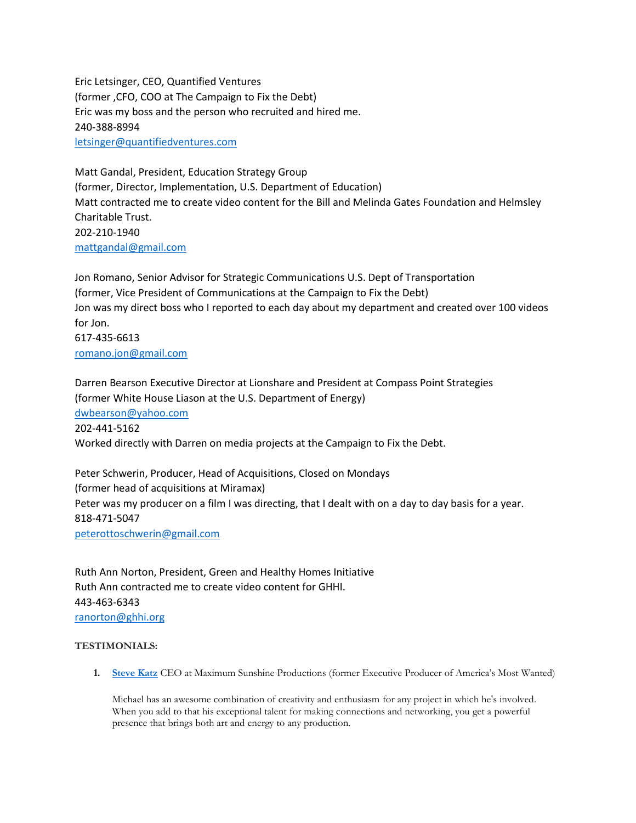Eric Letsinger, CEO, Quantified Ventures (former ,CFO, COO at The Campaign to Fix the Debt) Eric was my boss and the person who recruited and hired me. 240-388-8994 [letsinger@quantifiedventures.com](mailto:letsinger@quantifiedventures.com)

Matt Gandal, President, Education Strategy Group (former, Director, Implementation, U.S. Department of Education) Matt contracted me to create video content for the Bill and Melinda Gates Foundation and Helmsley Charitable Trust. 202-210-1940 [mattgandal@gmail.com](mailto:mattgandal@gmail.com)

Jon Romano, Senior Advisor for Strategic Communications U.S. Dept of Transportation (former, Vice President of Communications at the Campaign to Fix the Debt) Jon was my direct boss who I reported to each day about my department and created over 100 videos for Jon. 617-435-6613 [romano.jon@gmail.com](mailto:romano.jon@gmail.com)

Darren Bearson Executive Director at Lionshare and President at Compass Point Strategies (former White House Liason at the U.S. Department of Energy) [dwbearson@yahoo.com](mailto:dwbearson@yahoo.com) 202-441-5162 Worked directly with Darren on media projects at the Campaign to Fix the Debt.

Peter Schwerin, Producer, Head of Acquisitions, Closed on Mondays (former head of acquisitions at Miramax) Peter was my producer on a film I was directing, that I dealt with on a day to day basis for a year. 818-471-5047 [peterottoschwerin@gmail.com](mailto:peterottoschwerin@gmail.com)

Ruth Ann Norton, President, Green and Healthy Homes Initiative Ruth Ann contracted me to create video content for GHHI. 443-463-6343 [ranorton@ghhi.org](mailto:ranorton@ghhi.org)

## **TESTIMONIALS:**

**1. [Steve Katz](https://www.linkedin.com/profile/view?id=AAEAAACarM0BJ0Na_WHWXg60zc9vo7-gi6GE7Kk&authType=name&authToken=QV3X)** CEO at Maximum Sunshine Productions (former Executive Producer of America's Most Wanted)

Michael has an awesome combination of creativity and enthusiasm for any project in which he's involved. When you add to that his exceptional talent for making connections and networking, you get a powerful presence that brings both art and energy to any production.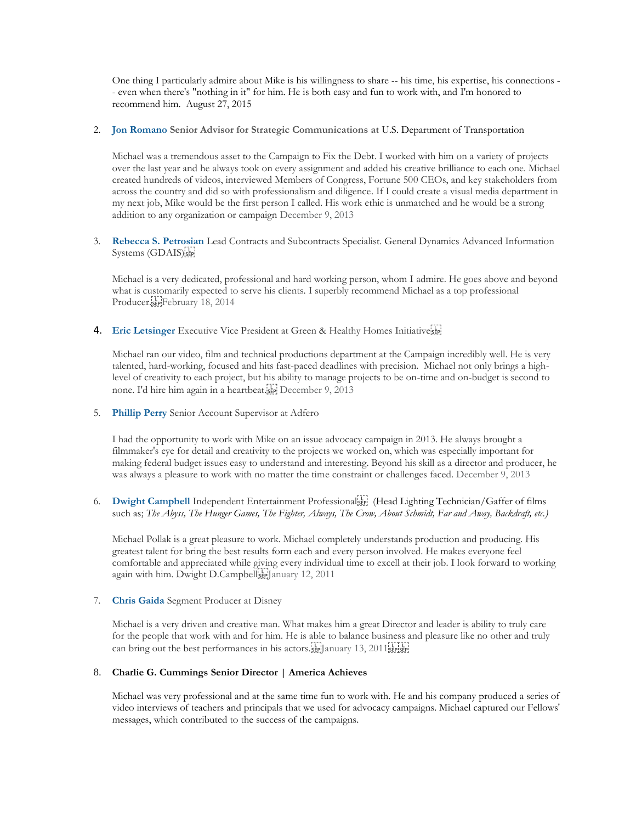One thing I particularly admire about Mike is his willingness to share -- his time, his expertise, his connections - - even when there's "nothing in it" for him. He is both easy and fun to work with, and I'm honored to recommend him. August 27, 2015

2. **[Jon Romano](https://www.linkedin.com/profile/view?id=97943319&authToken=zI1u) Senior Advisor for Strategic Communications at** U.S. Department of Transportation

Michael was a tremendous asset to the Campaign to Fix the Debt. I worked with him on a variety of projects over the last year and he always took on every assignment and added his creative brilliance to each one. Michael created hundreds of videos, interviewed Members of Congress, Fortune 500 CEOs, and key stakeholders from across the country and did so with professionalism and diligence. If I could create a visual media department in my next job, Mike would be the first person I called. His work ethic is unmatched and he would be a strong addition to any organization or campaign December 9, 2013

3. **[Rebecca S. Petrosian](https://www.linkedin.com/profile/view?id=152315221&authToken=Umh6)** Lead Contracts and Subcontracts Specialist. General Dynamics Advanced Information Systems (GDAIS) SEP!

Michael is a very dedicated, professional and hard working person, whom I admire. He goes above and beyond what is customarily expected to serve his clients. I superbly recommend Michael as a top professional Producer. SEP February 18, 2014

4. **Eric Letsinger** [Executive Vice President at Green & Healthy Homes Initiative](https://www.linkedin.com/profile/view?id=210423974&authToken=ZmSC)

Michael ran our video, film and technical productions department at the Campaign incredibly well. He is very talented, hard-working, focused and hits fast-paced deadlines with precision. Michael not only brings a highlevel of creativity to each project, but his ability to manage projects to be on-time and on-budget is second to none. I'd hire him again in a heartbeat.<sup>[17]</sup> December 9, 2013

5. **[Phillip Perry](https://www.linkedin.com/profile/view?id=11504270&authToken=35Np)** Senior Account Supervisor at Adfero

I had the opportunity to work with Mike on an issue advocacy campaign in 2013. He always brought a filmmaker's eye for detail and creativity to the projects we worked on, which was especially important for making federal budget issues easy to understand and interesting. Beyond his skill as a director and producer, he was always a pleasure to work with no matter the time constraint or challenges faced. December 9, 2013

6. **[Dwight Campbell](https://www.linkedin.com/profile/view?id=24862121&authToken=951N)** Independent Entertainment Professional (Head Lighting Technician/Gaffer of films such as; *The Abyss, The Hunger Games, The Fighter, Always, The Crow, About Schmidt, Far and Away, Backdraft, etc.)*

Michael Pollak is a great pleasure to work. Michael completely understands production and producing. His greatest talent for bring the best results form each and every person involved. He makes everyone feel comfortable and appreciated while giving every individual time to excell at their job. I look forward to working again with him. Dwight D.Campbellser January 12, 2011

7. **[Chris Gaida](https://www.linkedin.com/profile/view?id=2770864&authToken=wfq3)** Segment Producer at Disney

Michael is a very driven and creative man. What makes him a great Director and leader is ability to truly care for the people that work with and for him. He is able to balance business and pleasure like no other and truly can bring out the best performances in his actors. [17] anuary 13, 2011 [17]

## 8. **Charlie G. Cummings Senior Director | America Achieves**

Michael was very professional and at the same time fun to work with. He and his company produced a series of video interviews of teachers and principals that we used for advocacy campaigns. Michael captured our Fellows' messages, which contributed to the success of the campaigns.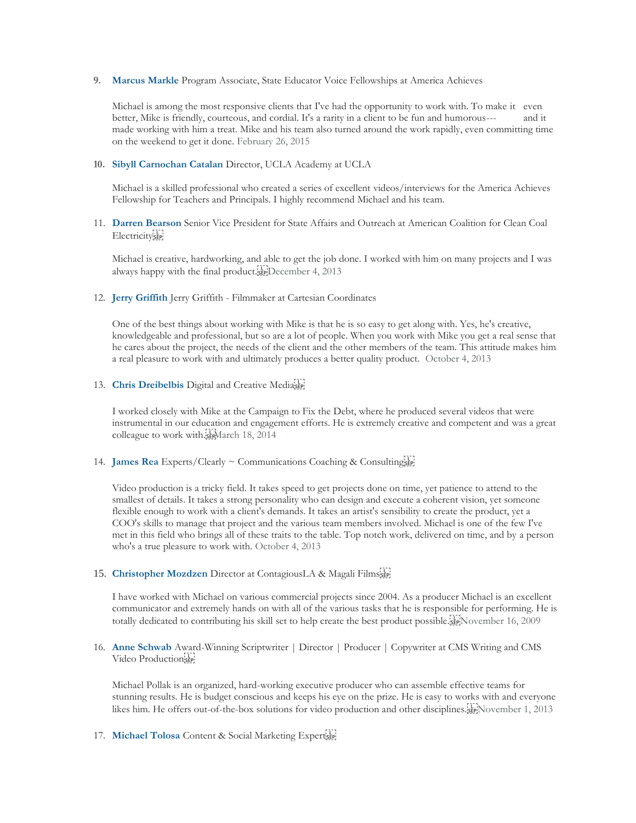**9. [Marcus Markle](https://www.linkedin.com/profile/view?id=135334054&authToken=6MG3)** Program Associate, State Educator Voice Fellowships at America Achieves

Michael is among the most responsive clients that I've had the opportunity to work with. To make it even better, Mike is friendly, courteous, and cordial. It's a rarity in a client to be fun and humorous--- and it made working with him a treat. Mike and his team also turned around the work rapidly, even committing time on the weekend to get it done. February 26, 2015

**10. [Sibyll Carnochan Catalan](https://www.linkedin.com/profile/view?id=16945644&authToken=ZaqB)** Director, UCLA Academy at UCLA

Michael is a skilled professional who created a series of excellent videos/interviews for the America Achieves Fellowship for Teachers and Principals. I highly recommend Michael and his team.

11. **[Darren Bearson](https://www.linkedin.com/profile/view?id=19456003&authToken=HhVG)** Senior Vice President for State Affairs and Outreach at American Coalition for Clean Coal Electricity<sup>[1]</sup>

Michael is creative, hardworking, and able to get the job done. I worked with him on many projects and I was always happy with the final product. December 4, 2013

12. **[Jerry Griffith](https://www.linkedin.com/profile/view?id=53915820&authToken=9_Ye)** Jerry Griffith - Filmmaker at Cartesian Coordinates

One of the best things about working with Mike is that he is so easy to get along with. Yes, he's creative, knowledgeable and professional, but so are a lot of people. When you work with Mike you get a real sense that he cares about the project, the needs of the client and the other members of the team. This attitude makes him a real pleasure to work with and ultimately produces a better quality product. October 4, 2013

13. **[Chris Dreibelbis](https://www.linkedin.com/profile/view?id=11931535&authToken=Xxbf)** Digital and Creative Media

I worked closely with Mike at the Campaign to Fix the Debt, where he produced several videos that were instrumental in our education and engagement efforts. He is extremely creative and competent and was a great colleague to work with.<sup>17</sup> March 18, 2014

14. **[James Rea](https://www.linkedin.com/profile/view?id=19571374&authToken=lnNs)** Experts/Clearly ~ Communications Coaching & Consulting

Video production is a tricky field. It takes speed to get projects done on time, yet patience to attend to the smallest of details. It takes a strong personality who can design and execute a coherent vision, yet someone flexible enough to work with a client's demands. It takes an artist's sensibility to create the product, yet a COO's skills to manage that project and the various team members involved. Michael is one of the few I've met in this field who brings all of these traits to the table. Top notch work, delivered on time, and by a person who's a true pleasure to work with. October 4, 2013

15. **[Christopher Mozdzen](https://www.linkedin.com/profile/view?id=49554062&authToken=Rh5v)** Director at ContagiousLA & Magali Films

I have worked with Michael on various commercial projects since 2004. As a producer Michael is an excellent communicator and extremely hands on with all of the various tasks that he is responsible for performing. He is totally dedicated to contributing his skill set to help create the best product possible.<sup>[1</sup>] November 16, 2009

16. **[Anne Schwab](https://www.linkedin.com/profile/view?id=17532126&authToken=apbh)** Award-Winning Scriptwriter | Director | Producer | Copywriter at CMS Writing and CMS Video Production

Michael Pollak is an organized, hard-working executive producer who can assemble effective teams for stunning results. He is budget conscious and keeps his eye on the prize. He is easy to works with and everyone likes him. He offers out-of-the-box solutions for video production and other disciplines. Fight November 1, 2013

17. **[Michael Tolosa](https://www.linkedin.com/profile/view?id=706490&authToken=_Y1G)** Content & Social Marketing Expert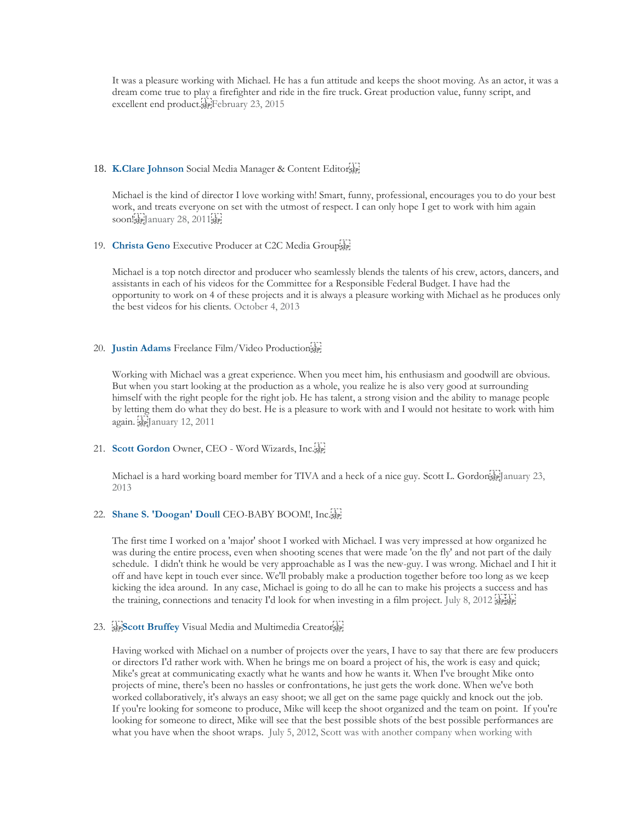It was a pleasure working with Michael. He has a fun attitude and keeps the shoot moving. As an actor, it was a dream come true to play a firefighter and ride in the fire truck. Great production value, funny script, and excellent end product. February 23, 201[5](https://www.linkedin.com/profile/view?id=11931535&authToken=Xxbf) 

#### 18. **[K.Clare Johnson](https://www.linkedin.com/profile/view?id=22930821&authToken=37q6)** Social Media Manager & Content Editor

Michael is the kind of director I love working with! Smart, funny, professional, encourages you to do your best work, and treats everyone on set with the utmost of respect. I can only hope I get to work with him again soon!see!January28, 2011;see!

#### 19. **[Christa Geno](https://www.linkedin.com/profile/view?id=2770864&authToken=wfq3)** Executive Producer at C2C Media Group

[Michael is a top notch director and producer who seamlessly blends the talents of his crew, actors, dancers, and](https://www.linkedin.com/profile/view?id=2770864&authToken=wfq3)  [assistants in each of his videos for the Committee for a Responsible Federal Budget. I have had the](https://www.linkedin.com/profile/view?id=2770864&authToken=wfq3)  [opportunity to work on 4 of these projects and it is always a pleasure working with Michael as he produces only](https://www.linkedin.com/profile/view?id=2770864&authToken=wfq3)  [the best videos for his clients. October 4, 2013](https://www.linkedin.com/profile/view?id=2770864&authToken=wfq3)

### 20. **[Justin Adams](https://www.linkedin.com/profile/view?id=2770864&authToken=wfq3)** Freelance Film/Video Production

[Working with Michael was a great experience. When you meet him, his enthusiasm and goodwill are obvious.](https://www.linkedin.com/profile/view?id=2770864&authToken=wfq3)  [But when you start looking at the production as a whole, you realize he is also very good at surrounding](https://www.linkedin.com/profile/view?id=2770864&authToken=wfq3)  [himself with the right people for the right job. He has talent, a strong vision and the ability to manage people](https://www.linkedin.com/profile/view?id=2770864&authToken=wfq3)  [by letting them do what they do best. He is a pleasure to work with and I would not hesitate to work with him](https://www.linkedin.com/profile/view?id=2770864&authToken=wfq3)  again. **SEP**January 12, 2011

## 21. **[Scott Gordon](https://www.linkedin.com/profile/view?id=10055389&authToken=a3en)** Owner, CEO - [Word Wizards, Inc.](https://www.linkedin.com/profile/view?id=10055389&authToken=a3en)

[Michael is a hard working board member for TIVA and a heck of a nice guy. Scott L. Gordon](https://www.linkedin.com/profile/view?id=10055389&authToken=a3en) [5] anuary 23, [2013](https://www.linkedin.com/profile/view?id=10055389&authToken=a3en)

# 22. **[Shane S. 'Doogan' Doull](https://www.linkedin.com/profile/view?id=10055389&authToken=a3en)** CEO-BABY BOOM!, Inc.

[The first time I worked on a 'major' shoot I worked with Michael. I was very impressed at how organized he](https://www.linkedin.com/profile/view?id=10055389&authToken=a3en)  [was during the entire process, even when shooting scenes that were made 'on the fly' and not part of the daily](https://www.linkedin.com/profile/view?id=10055389&authToken=a3en)  [schedule. I didn't think he would be very approachable as I was the new-guy. I was wrong. Michael and I hit it](https://www.linkedin.com/profile/view?id=10055389&authToken=a3en)  [off and have kept in touch ever since. We'll probably make a production together before too long as we keep](https://www.linkedin.com/profile/view?id=10055389&authToken=a3en)  [kicking the idea around. In any case, Michael is going to do all he can to make his projects a success and has](https://www.linkedin.com/profile/view?id=10055389&authToken=a3en)  [the training, connections and tenacity I'd look for when investing in a film project. July 8, 2012](https://www.linkedin.com/profile/view?id=10055389&authToken=a3en) SEPISEP

### 23. **SEPS COTT Bruffey** [Visual Media and Multimedia Creator](https://www.linkedin.com/profile/view?id=10055389&authToken=a3en) SEP

[Having worked with Michael on a number of projects over the years, I have to say that there are few producers](https://www.linkedin.com/profile/view?id=10055389&authToken=a3en)  [or directors I'd rather work with. When he brings me on board a project of his, the work is easy and quick;](https://www.linkedin.com/profile/view?id=10055389&authToken=a3en)  [Mike's great at communicating exactly what he wants and how he wants it. When I've brought Mike onto](https://www.linkedin.com/profile/view?id=10055389&authToken=a3en)  [projects of mine, there's been no hassles or confrontations, he just gets the work done. When we've both](https://www.linkedin.com/profile/view?id=10055389&authToken=a3en)  [worked collaboratively, it's always an easy shoot; we all get on the same page quickly and knock out the job.](https://www.linkedin.com/profile/view?id=10055389&authToken=a3en)  [If you're looking for someone to produce, Mike will keep the shoot organized and the team on point. If you're](https://www.linkedin.com/profile/view?id=10055389&authToken=a3en)  [looking for someone to direct, Mike will see that the best possible shots of the best possible performances are](https://www.linkedin.com/profile/view?id=10055389&authToken=a3en)  [what you have when the shoot wraps. July 5, 2012, Scott was with another company when working with](https://www.linkedin.com/profile/view?id=10055389&authToken=a3en)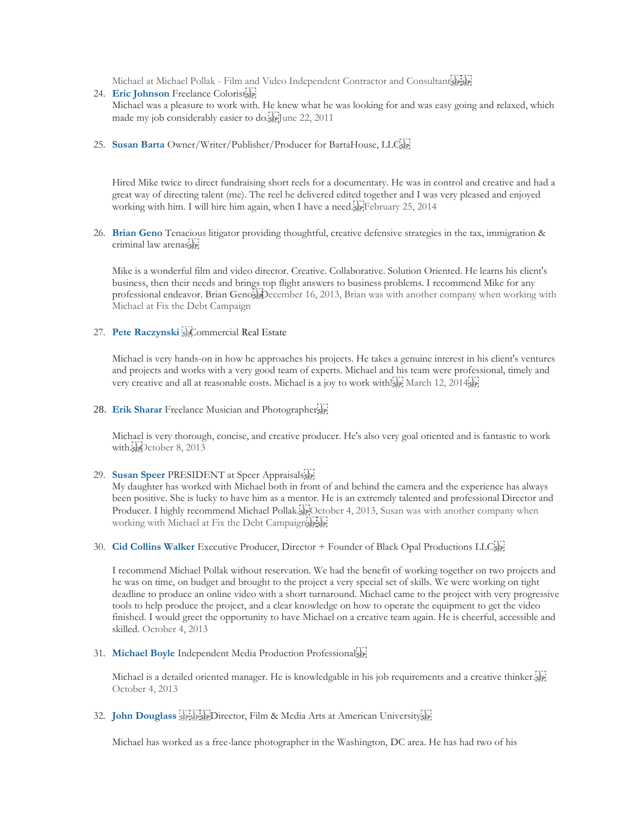Michael at Michael Pollak - [Film and Video Independent Contractor and Consultant](https://www.linkedin.com/profile/view?id=10055389&authToken=a3en) SEPISEP

- 24. **[Eric Johnson](https://www.linkedin.com/profile/view?id=10055389&authToken=a3en)** Freelance Colorist [Michael was a pleasure to work with. He knew what he was looking for and was easy going and relaxed, which](https://www.linkedin.com/profile/view?id=10055389&authToken=a3en)  [made my job considerably easier to do.](https://www.linkedin.com/profile/view?id=10055389&authToken=a3en)<sup>1</sup> [Fe] une 22, 2011
- 25. **[Susan Barta](https://www.linkedin.com/profile/view?id=10055389&authToken=a3en)** Owner/Writer/Publisher/Producer for BartaHouse, LLC

[Hired Mike twice to direct fundraising short reels for a documentary. He was in control and creative and had a](https://www.linkedin.com/profile/view?id=15696872&authToken=OBVF)  [great way of directing talent \(me\). The reel he delivered edited together and I was very pleased and enjoyed](https://www.linkedin.com/profile/view?id=15696872&authToken=OBVF)  [working with him. I will hire him again, when I have a need.](https://www.linkedin.com/profile/view?id=15696872&authToken=OBVF) February 25, 2014

26. **[Brian Geno](https://www.linkedin.com/profile/view?id=10061426&authToken=qMFV)** Tenacious litigator providing thoughtful, creative defensive strategies in the tax, immigration & criminal law arenas

Mike is a wonderful film and video director. Creative. Collaborative. Solution Oriented. He learns his client's business, then their needs and brings top flight answers to business problems. I recommend Mike for any professional endeavor. Brian Geno December 16, 2013, Brian was with another company when working with Michael at Fix the Debt Campaign

27. [Pete Raczynski](https://www.linkedin.com/profile/view?id=224824037&authToken=DBct) **SEC**ommercial Real Estate

Michael is very hands-on in how he approaches his projects. He takes a genuine interest in his client's ventures and projects and works with a very good team of experts. Michael and his team were professional, timely and very creative and all at reasonable costs. Michael is a joy to work with  $\sum_{s}^{[1]}$  March 12, 2014 $\sum_{s}^{[1]}$ 

28. **[Erik Sharar](https://www.linkedin.com/profile/view?id=249409571&authToken=8F43)** Freelance Musician and Photographer

Michael is very thorough, concise, and creative producer. He's also very goal oriented and is fantastic to work with.strOctober 8, 2013

29. **[Susan Speer](https://www.linkedin.com/profile/view?id=35303347&authToken=cKIY)** PRESIDENT at Speer Appraisals

My daughter has worked with Michael both in front of and behind the camera and the experience has always been positive. She is lucky to have him as a mentor. He is an extremely talented and professional Director and Producer. I highly recommend Michael Pollak.<sup>[17]</sup>October 4, 2013, Susan was with another company when working with Michael at Fix the Debt Campaignstrict

30. **[Cid Collins Walker](https://www.linkedin.com/profile/view?id=10733309&authToken=9qtK)** Executive Producer, Director + Founder of Black Opal Productions LLC

I recommend Michael Pollak without reservation. We had the benefit of working together on two projects and he was on time, on budget and brought to the project a very special set of skills. We were working on tight deadline to produce an online video with a short turnaround. Michael came to the project with very progressive tools to help produce the project, and a clear knowledge on how to operate the equipment to get the video finished. I would greet the opportunity to have Michael on a creative team again. He is cheerful, accessible and skilled. October 4, 2013

31. **[Michael Boyle](https://www.linkedin.com/profile/view?id=34523364&authToken=5x8C)** Independent Media Production Professional

Michael is a detailed orient[ed manager. He is knowledgable in his job requirements and a creative thinker.](https://www.linkedin.com/profile/view?id=27291667&authToken=Y9Q9) October 4, 2013

32. **[John Douglass](https://www.linkedin.com/profile/view?id=27291667&authToken=Y9Q9)** *SEPISEP EXET Director*, Film & Media Arts at American University<sup>[17]</sup>

Michael has worked as a free-lance photographer in the Washington, DC area. He has had two of his